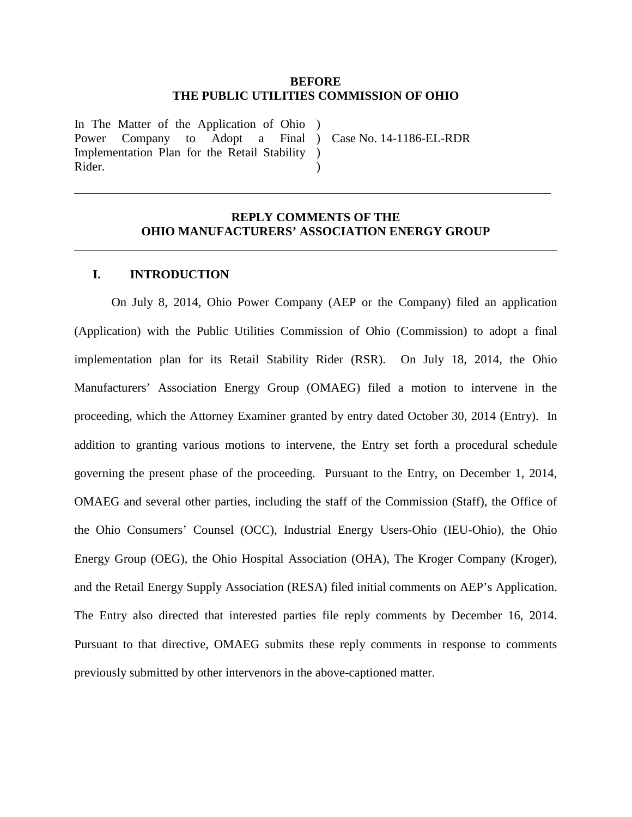### **BEFORE THE PUBLIC UTILITIES COMMISSION OF OHIO**

In The Matter of the Application of Ohio ) Power Company to Adopt a Implementation Plan for the Retail Stability ) Rider.

) Case No. 14-1186-EL-RDR

# **REPLY COMMENTS OF THE OHIO MANUFACTURERS' ASSOCIATION ENERGY GROUP**

\_\_\_\_\_\_\_\_\_\_\_\_\_\_\_\_\_\_\_\_\_\_\_\_\_\_\_\_\_\_\_\_\_\_\_\_\_\_\_\_\_\_\_\_\_\_\_\_\_\_\_\_\_\_\_\_\_\_\_\_\_\_\_\_\_\_\_\_\_\_\_\_\_\_\_\_\_\_

 $\lambda$ 

\_\_\_\_\_\_\_\_\_\_\_\_\_\_\_\_\_\_\_\_\_\_\_\_\_\_\_\_\_\_\_\_\_\_\_\_\_\_\_\_\_\_\_\_\_\_\_\_\_\_\_\_\_\_\_\_\_\_\_\_\_\_\_\_\_\_\_\_\_\_\_\_\_\_\_\_\_

### **I. INTRODUCTION**

On July 8, 2014, Ohio Power Company (AEP or the Company) filed an application (Application) with the Public Utilities Commission of Ohio (Commission) to adopt a final implementation plan for its Retail Stability Rider (RSR). On July 18, 2014, the Ohio Manufacturers' Association Energy Group (OMAEG) filed a motion to intervene in the proceeding, which the Attorney Examiner granted by entry dated October 30, 2014 (Entry). In addition to granting various motions to intervene, the Entry set forth a procedural schedule governing the present phase of the proceeding. Pursuant to the Entry, on December 1, 2014, OMAEG and several other parties, including the staff of the Commission (Staff), the Office of the Ohio Consumers' Counsel (OCC), Industrial Energy Users-Ohio (IEU-Ohio), the Ohio Energy Group (OEG), the Ohio Hospital Association (OHA), The Kroger Company (Kroger), and the Retail Energy Supply Association (RESA) filed initial comments on AEP's Application. The Entry also directed that interested parties file reply comments by December 16, 2014. Pursuant to that directive, OMAEG submits these reply comments in response to comments previously submitted by other intervenors in the above-captioned matter.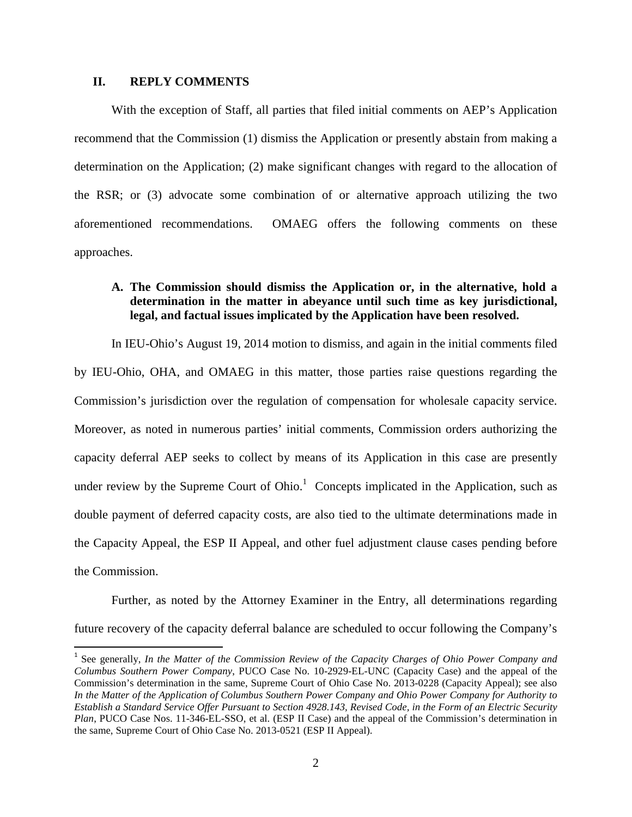## **II. REPLY COMMENTS**

 $\overline{a}$ 

With the exception of Staff, all parties that filed initial comments on AEP's Application recommend that the Commission (1) dismiss the Application or presently abstain from making a determination on the Application; (2) make significant changes with regard to the allocation of the RSR; or (3) advocate some combination of or alternative approach utilizing the two aforementioned recommendations. OMAEG offers the following comments on these approaches.

# **A. The Commission should dismiss the Application or, in the alternative, hold a determination in the matter in abeyance until such time as key jurisdictional, legal, and factual issues implicated by the Application have been resolved.**

In IEU-Ohio's August 19, 2014 motion to dismiss, and again in the initial comments filed by IEU-Ohio, OHA, and OMAEG in this matter, those parties raise questions regarding the Commission's jurisdiction over the regulation of compensation for wholesale capacity service. Moreover, as noted in numerous parties' initial comments, Commission orders authorizing the capacity deferral AEP seeks to collect by means of its Application in this case are presently under review by the Supreme Court of Ohio. $1$  Concepts implicated in the Application, such as double payment of deferred capacity costs, are also tied to the ultimate determinations made in the Capacity Appeal, the ESP II Appeal, and other fuel adjustment clause cases pending before the Commission.

Further, as noted by the Attorney Examiner in the Entry, all determinations regarding future recovery of the capacity deferral balance are scheduled to occur following the Company's

<sup>&</sup>lt;sup>1</sup> See generally, *In the Matter of the Commission Review of the Capacity Charges of Ohio Power Company and Columbus Southern Power Company*, PUCO Case No. 10-2929-EL-UNC (Capacity Case) and the appeal of the Commission's determination in the same, Supreme Court of Ohio Case No. 2013-0228 (Capacity Appeal); see also *In the Matter of the Application of Columbus Southern Power Company and Ohio Power Company for Authority to Establish a Standard Service Offer Pursuant to Section 4928.143, Revised Code, in the Form of an Electric Security Plan*, PUCO Case Nos. 11-346-EL-SSO, et al. (ESP II Case) and the appeal of the Commission's determination in the same, Supreme Court of Ohio Case No. 2013-0521 (ESP II Appeal).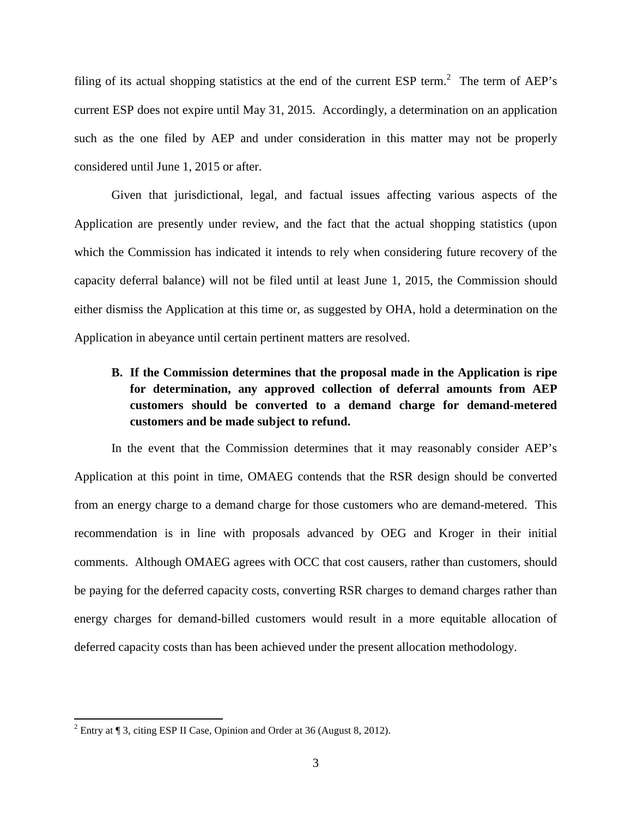filing of its actual shopping statistics at the end of the current ESP term.<sup>2</sup> The term of AEP's current ESP does not expire until May 31, 2015. Accordingly, a determination on an application such as the one filed by AEP and under consideration in this matter may not be properly considered until June 1, 2015 or after.

 Given that jurisdictional, legal, and factual issues affecting various aspects of the Application are presently under review, and the fact that the actual shopping statistics (upon which the Commission has indicated it intends to rely when considering future recovery of the capacity deferral balance) will not be filed until at least June 1, 2015, the Commission should either dismiss the Application at this time or, as suggested by OHA, hold a determination on the Application in abeyance until certain pertinent matters are resolved.

# **B. If the Commission determines that the proposal made in the Application is ripe for determination, any approved collection of deferral amounts from AEP customers should be converted to a demand charge for demand-metered customers and be made subject to refund.**

In the event that the Commission determines that it may reasonably consider AEP's Application at this point in time, OMAEG contends that the RSR design should be converted from an energy charge to a demand charge for those customers who are demand-metered. This recommendation is in line with proposals advanced by OEG and Kroger in their initial comments. Although OMAEG agrees with OCC that cost causers, rather than customers, should be paying for the deferred capacity costs, converting RSR charges to demand charges rather than energy charges for demand-billed customers would result in a more equitable allocation of deferred capacity costs than has been achieved under the present allocation methodology.

 $\overline{a}$ 

<sup>&</sup>lt;sup>2</sup> Entry at  $\P$  3, citing ESP II Case, Opinion and Order at 36 (August 8, 2012).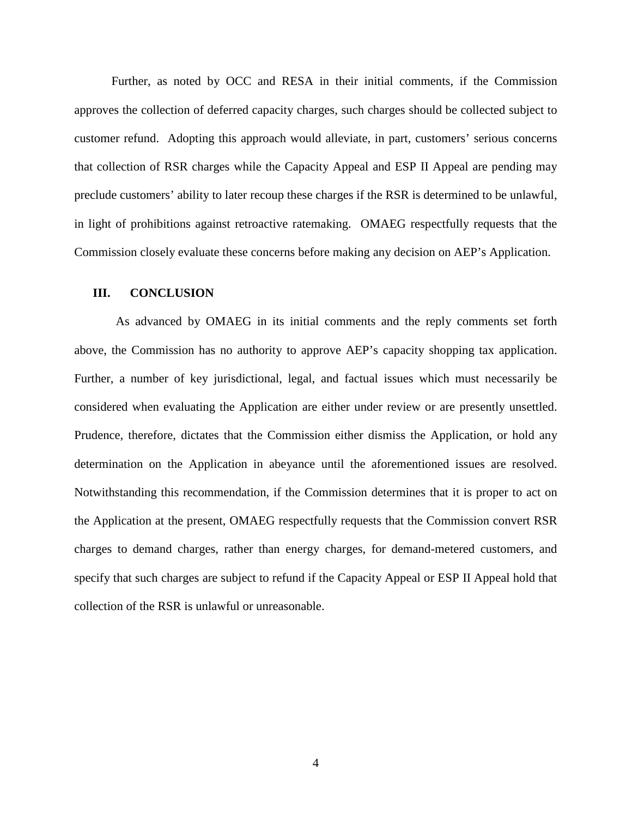Further, as noted by OCC and RESA in their initial comments, if the Commission approves the collection of deferred capacity charges, such charges should be collected subject to customer refund. Adopting this approach would alleviate, in part, customers' serious concerns that collection of RSR charges while the Capacity Appeal and ESP II Appeal are pending may preclude customers' ability to later recoup these charges if the RSR is determined to be unlawful, in light of prohibitions against retroactive ratemaking. OMAEG respectfully requests that the Commission closely evaluate these concerns before making any decision on AEP's Application.

#### **III. CONCLUSION**

As advanced by OMAEG in its initial comments and the reply comments set forth above, the Commission has no authority to approve AEP's capacity shopping tax application. Further, a number of key jurisdictional, legal, and factual issues which must necessarily be considered when evaluating the Application are either under review or are presently unsettled. Prudence, therefore, dictates that the Commission either dismiss the Application, or hold any determination on the Application in abeyance until the aforementioned issues are resolved. Notwithstanding this recommendation, if the Commission determines that it is proper to act on the Application at the present, OMAEG respectfully requests that the Commission convert RSR charges to demand charges, rather than energy charges, for demand-metered customers, and specify that such charges are subject to refund if the Capacity Appeal or ESP II Appeal hold that collection of the RSR is unlawful or unreasonable.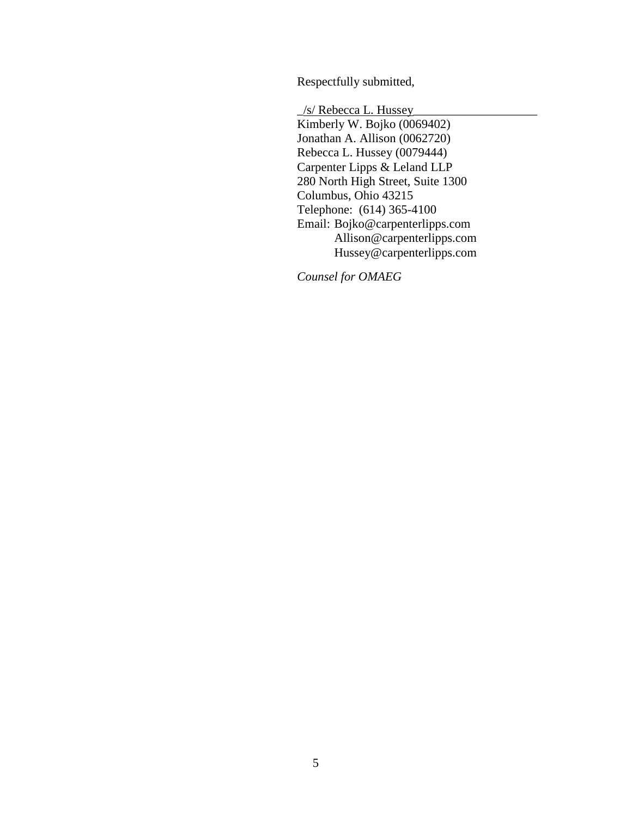Respectfully submitted,

 \_/s/ Rebecca L. Hussey\_\_\_\_\_\_\_\_\_\_\_\_\_\_\_\_\_\_\_\_ Kimberly W. Bojko (0069402) Jonathan A. Allison (0062720) Rebecca L. Hussey (0079444) Carpenter Lipps & Leland LLP 280 North High Street, Suite 1300 Columbus, Ohio 43215 Telephone: (614) 365-4100 Email: Bojko@carpenterlipps.com Allison@carpenterlipps.com Hussey@carpenterlipps.com

*Counsel for OMAEG*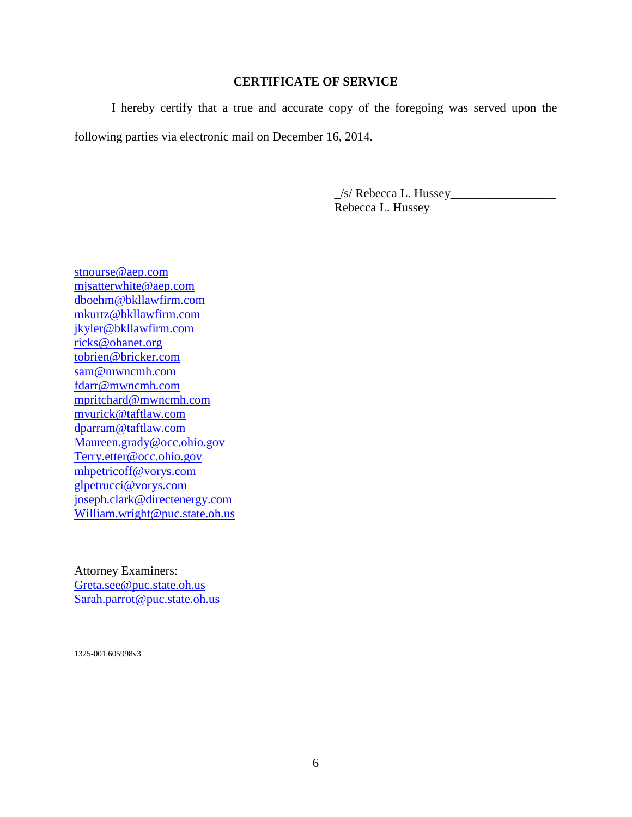# **CERTIFICATE OF SERVICE**

 I hereby certify that a true and accurate copy of the foregoing was served upon the following parties via electronic mail on December 16, 2014.

> $\frac{1}{s}$  Rebecca L. Hussey Rebecca L. Hussey

stnourse@aep.com mjsatterwhite@aep.com dboehm@bkllawfirm.com mkurtz@bkllawfirm.com jkyler@bkllawfirm.com ricks@ohanet.org tobrien@bricker.com sam@mwncmh.com fdarr@mwncmh.com mpritchard@mwncmh.com myurick@taftlaw.com dparram@taftlaw.com Maureen.grady@occ.ohio.gov Terry.etter@occ.ohio.gov mhpetricoff@vorys.com glpetrucci@vorys.com joseph.clark@directenergy.com William.wright@puc.state.oh.us

Attorney Examiners: Greta.see@puc.state.oh.us Sarah.parrot@puc.state.oh.us

1325-001.605998v3